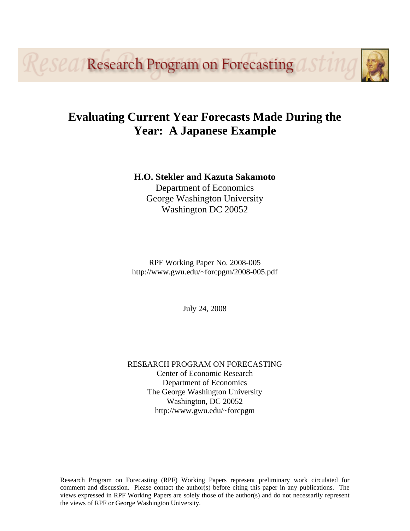*Research Program on Forecasting* 

# **Evaluating Current Year Forecasts Made During the Year: A Japanese Example**

# **H.O. Stekler and Kazuta Sakamoto**

Department of Economics George Washington University Washington DC 20052

RPF Working Paper No. 2008-005 http://www.gwu.edu/~forcpgm/2008-005.pdf

July 24, 2008

## RESEARCH PROGRAM ON FORECASTING Center of Economic Research Department of Economics The George Washington University Washington, DC 20052 http://www.gwu.edu/~forcpgm

Research Program on Forecasting (RPF) Working Papers represent preliminary work circulated for comment and discussion. Please contact the author(s) before citing this paper in any publications. The views expressed in RPF Working Papers are solely those of the author(s) and do not necessarily represent the views of RPF or George Washington University.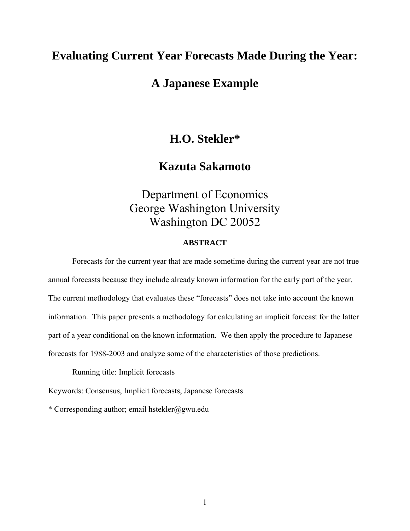# **Evaluating Current Year Forecasts Made During the Year:**

# **A Japanese Example**

# **H.O. Stekler\***

# **Kazuta Sakamoto**

Department of Economics George Washington University Washington DC 20052

## **ABSTRACT**

Forecasts for the current year that are made sometime during the current year are not true annual forecasts because they include already known information for the early part of the year. The current methodology that evaluates these "forecasts" does not take into account the known information. This paper presents a methodology for calculating an implicit forecast for the latter part of a year conditional on the known information. We then apply the procedure to Japanese forecasts for 1988-2003 and analyze some of the characteristics of those predictions.

Running title: Implicit forecasts

Keywords: Consensus, Implicit forecasts, Japanese forecasts

\* Corresponding author; email hstekler@gwu.edu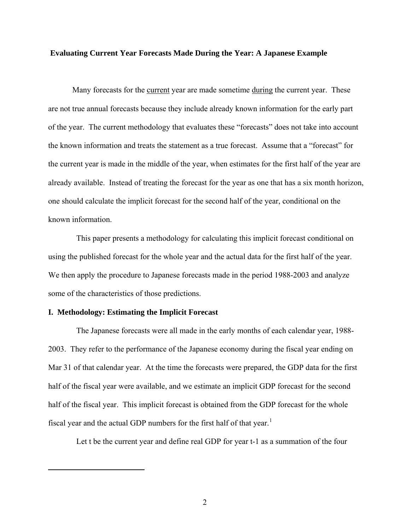#### **Evaluating Current Year Forecasts Made During the Year: A Japanese Example**

Many forecasts for the current year are made sometime during the current year. These are not true annual forecasts because they include already known information for the early part of the year. The current methodology that evaluates these "forecasts" does not take into account the known information and treats the statement as a true forecast. Assume that a "forecast" for the current year is made in the middle of the year, when estimates for the first half of the year are already available. Instead of treating the forecast for the year as one that has a six month horizon, one should calculate the implicit forecast for the second half of the year, conditional on the known information.

This paper presents a methodology for calculating this implicit forecast conditional on using the published forecast for the whole year and the actual data for the first half of the year. We then apply the procedure to Japanese forecasts made in the period 1988-2003 and analyze some of the characteristics of those predictions.

#### **I. Methodology: Estimating the Implicit Forecast**

<span id="page-2-0"></span> $\overline{a}$ 

The Japanese forecasts were all made in the early months of each calendar year, 1988- 2003. They refer to the performance of the Japanese economy during the fiscal year ending on Mar 31 of that calendar year. At the time the forecasts were prepared, the GDP data for the first half of the fiscal year were available, and we estimate an implicit GDP forecast for the second half of the fiscal year. This implicit forecast is obtained from the GDP forecast for the whole fiscal year and the actual GDP numbers for the first half of that year.<sup>[1](#page-2-0)</sup>

Let t be the current year and define real GDP for year t-1 as a summation of the four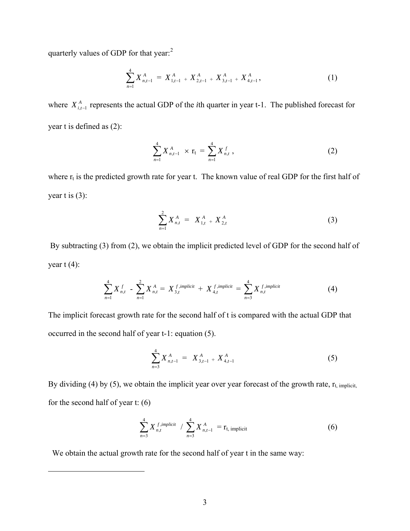quarterly values of GDP for that year:<sup>[2](#page-3-0)</sup>

$$
\sum_{n=1}^{4} X_{n,t-1}^{A} = X_{1,t-1}^{A} + X_{2,t-1}^{A} + X_{3,t-1}^{A} + X_{4,t-1}^{A}, \qquad (1)
$$

where  $X_{i,t-1}^A$  represents the actual GDP of the *i*th quarter in year t-1. The published forecast for year t is defined as (2):

$$
\sum_{n=1}^{4} X_{n,t-1}^{A} \times \mathbf{r}_{t} = \sum_{n=1}^{4} X_{n,t}^{f}, \qquad (2)
$$

where  $r_t$  is the predicted growth rate for year t. The known value of real GDP for the first half of year t is  $(3)$ :

$$
\sum_{n=1}^{2} X_{n,t}^{A} = X_{1,t}^{A} + X_{2,t}^{A}
$$
 (3)

 By subtracting (3) from (2), we obtain the implicit predicted level of GDP for the second half of year  $t(4)$ :

$$
\sum_{n=1}^{4} X_{n,t}^{f} - \sum_{n=1}^{2} X_{n,t}^{A} = X_{3,t}^{f, implicit} + X_{4,t}^{f, implicit} = \sum_{n=3}^{4} X_{n,t}^{f, implicit}
$$
 (4)

The implicit forecast growth rate for the second half of t is compared with the actual GDP that occurred in the second half of year t-1: equation (5).

$$
\sum_{n=3}^{4} X_{n,t-1}^{A} = X_{3,t-1}^{A} + X_{4,t-1}^{A}
$$
 (5)

By dividing (4) by (5), we obtain the implicit year over year forecast of the growth rate,  $r_{t, \text{implicit}}$ for the second half of year t: (6)

$$
\sum_{n=3}^{4} X_{n,t}^{f,implicit} / \sum_{n=3}^{4} X_{n,t-1}^{A} = r_{t, implicit}
$$
 (6)

We obtain the actual growth rate for the second half of year t in the same way:

<span id="page-3-0"></span> $\overline{a}$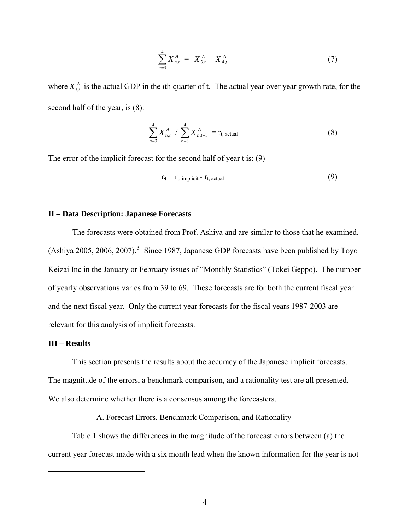$$
\sum_{n=3}^{4} X_{n,t}^{A} = X_{3,t}^{A} + X_{4,t}^{A}
$$
 (7)

where  $X_{i,t}^A$  is the actual GDP in the *i*th quarter of t. The actual year over year growth rate, for the second half of the year, is (8):

$$
\sum_{n=3}^{4} X_{n,t}^{A} / \sum_{n=3}^{4} X_{n,t-1}^{A} = r_{t, actual}
$$
 (8)

The error of the implicit forecast for the second half of year t is: (9)

$$
\varepsilon_t = r_{t, \text{ implicit}} - r_{t, \text{actual}} \tag{9}
$$

#### **II – Data Description: Japanese Forecasts**

The forecasts were obtained from Prof. Ashiya and are similar to those that he examined. (Ashiya 2005, 2006, 2007).<sup>[3](#page-4-0)</sup> Since 1987, Japanese GDP forecasts have been published by Toyo Keizai Inc in the January or February issues of "Monthly Statistics" (Tokei Geppo). The number of yearly observations varies from 39 to 69. These forecasts are for both the current fiscal year and the next fiscal year. Only the current year forecasts for the fiscal years 1987-2003 are relevant for this analysis of implicit forecasts.

#### **III – Results**

<span id="page-4-0"></span><u>.</u>

 This section presents the results about the accuracy of the Japanese implicit forecasts. The magnitude of the errors, a benchmark comparison, and a rationality test are all presented. We also determine whether there is a consensus among the forecasters.

### A. Forecast Errors, Benchmark Comparison, and Rationality

 Table 1 shows the differences in the magnitude of the forecast errors between (a) the current year forecast made with a six month lead when the known information for the year is not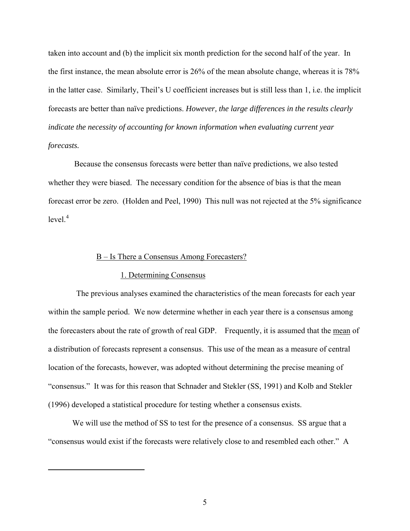taken into account and (b) the implicit six month prediction for the second half of the year. In the first instance, the mean absolute error is 26% of the mean absolute change, whereas it is 78% in the latter case. Similarly, Theil's U coefficient increases but is still less than 1, i.e. the implicit forecasts are better than naïve predictions. *However, the large differences in the results clearly indicate the necessity of accounting for known information when evaluating current year forecasts.* 

 Because the consensus forecasts were better than naïve predictions, we also tested whether they were biased. The necessary condition for the absence of bias is that the mean forecast error be zero. (Holden and Peel, 1990) This null was not rejected at the 5% significance  $level.<sup>4</sup>$  $level.<sup>4</sup>$  $level.<sup>4</sup>$ 

#### B – Is There a Consensus Among Forecasters?

#### 1. Determining Consensus

<span id="page-5-0"></span><u>.</u>

The previous analyses examined the characteristics of the mean forecasts for each year within the sample period. We now determine whether in each year there is a consensus among the forecasters about the rate of growth of real GDP. Frequently, it is assumed that the mean of a distribution of forecasts represent a consensus. This use of the mean as a measure of central location of the forecasts, however, was adopted without determining the precise meaning of "consensus." It was for this reason that Schnader and Stekler (SS, 1991) and Kolb and Stekler (1996) developed a statistical procedure for testing whether a consensus exists.

 We will use the method of SS to test for the presence of a consensus. SS argue that a "consensus would exist if the forecasts were relatively close to and resembled each other." A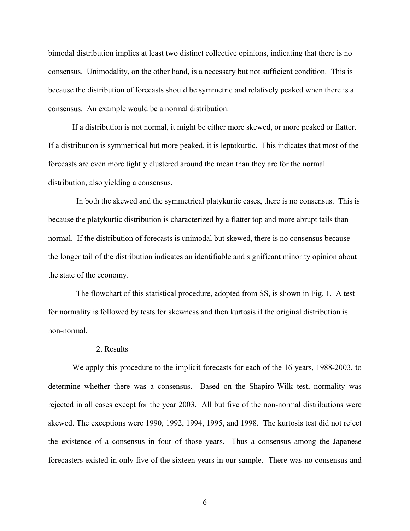bimodal distribution implies at least two distinct collective opinions, indicating that there is no consensus. Unimodality, on the other hand, is a necessary but not sufficient condition. This is because the distribution of forecasts should be symmetric and relatively peaked when there is a consensus. An example would be a normal distribution.

If a distribution is not normal, it might be either more skewed, or more peaked or flatter. If a distribution is symmetrical but more peaked, it is leptokurtic. This indicates that most of the forecasts are even more tightly clustered around the mean than they are for the normal distribution, also yielding a consensus.

In both the skewed and the symmetrical platykurtic cases, there is no consensus. This is because the platykurtic distribution is characterized by a flatter top and more abrupt tails than normal. If the distribution of forecasts is unimodal but skewed, there is no consensus because the longer tail of the distribution indicates an identifiable and significant minority opinion about the state of the economy.

The flowchart of this statistical procedure, adopted from SS, is shown in Fig. 1. A test for normality is followed by tests for skewness and then kurtosis if the original distribution is non-normal.

#### 2. Results

 We apply this procedure to the implicit forecasts for each of the 16 years, 1988-2003, to determine whether there was a consensus. Based on the Shapiro-Wilk test, normality was rejected in all cases except for the year 2003. All but five of the non-normal distributions were skewed. The exceptions were 1990, 1992, 1994, 1995, and 1998. The kurtosis test did not reject the existence of a consensus in four of those years. Thus a consensus among the Japanese forecasters existed in only five of the sixteen years in our sample. There was no consensus and

6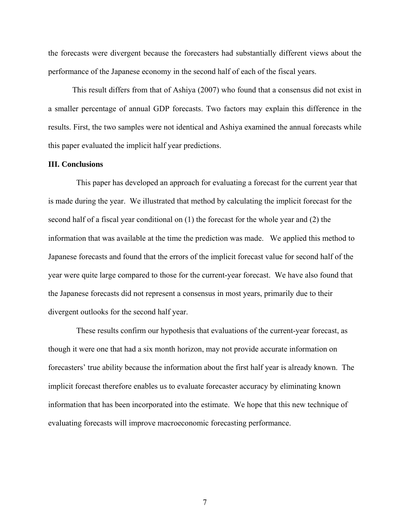the forecasts were divergent because the forecasters had substantially different views about the performance of the Japanese economy in the second half of each of the fiscal years.

This result differs from that of Ashiya (2007) who found that a consensus did not exist in a smaller percentage of annual GDP forecasts. Two factors may explain this difference in the results. First, the two samples were not identical and Ashiya examined the annual forecasts while this paper evaluated the implicit half year predictions.

#### **III. Conclusions**

This paper has developed an approach for evaluating a forecast for the current year that is made during the year. We illustrated that method by calculating the implicit forecast for the second half of a fiscal year conditional on (1) the forecast for the whole year and (2) the information that was available at the time the prediction was made. We applied this method to Japanese forecasts and found that the errors of the implicit forecast value for second half of the year were quite large compared to those for the current-year forecast. We have also found that the Japanese forecasts did not represent a consensus in most years, primarily due to their divergent outlooks for the second half year.

These results confirm our hypothesis that evaluations of the current-year forecast, as though it were one that had a six month horizon, may not provide accurate information on forecasters' true ability because the information about the first half year is already known. The implicit forecast therefore enables us to evaluate forecaster accuracy by eliminating known information that has been incorporated into the estimate. We hope that this new technique of evaluating forecasts will improve macroeconomic forecasting performance.

7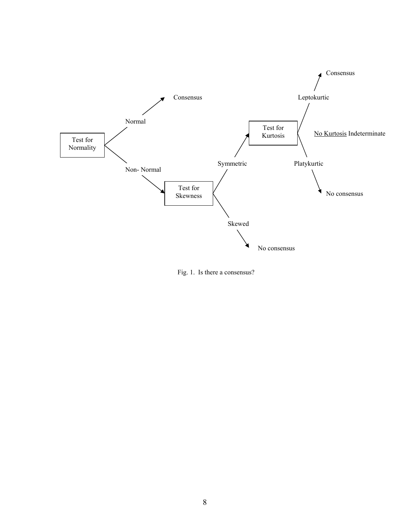

Fig. 1. Is there a consensus?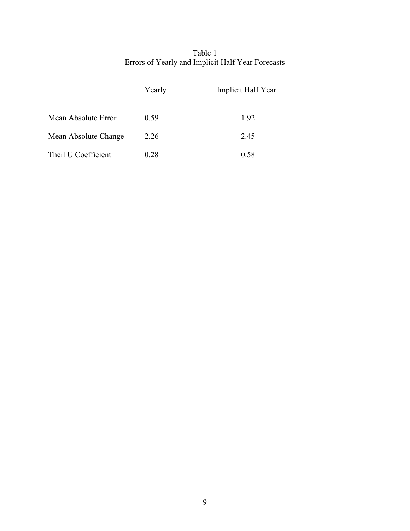## Table 1 Errors of Yearly and Implicit Half Year Forecasts

|                      | Yearly | Implicit Half Year |
|----------------------|--------|--------------------|
| Mean Absolute Error  | 0.59   | 1.92               |
| Mean Absolute Change | 2.26   | 2.45               |
| Theil U Coefficient  | 0.28   | 0.58               |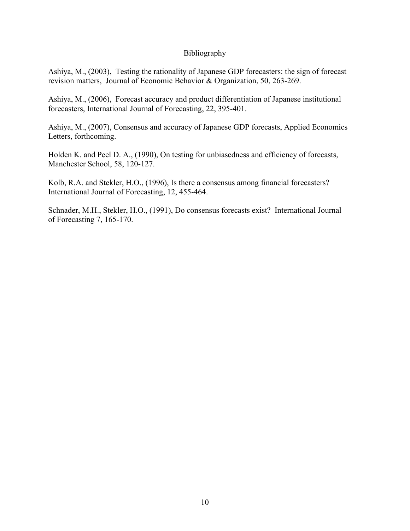### Bibliography

Ashiya, M., (2003), Testing the rationality of Japanese GDP forecasters: the si[gn o](http://www.econ.kyoto-u.ac.jp/%7Eida/3Kenkyuukatudou/4ouyoumicro/2003ouyoumicro/ashiya031120.pdf)f forecast revision matters, Journal of Economic Behavior & Organization, 50, 263-269.

Ashiya, M., (2006), Forecast accuracy and product differentiation of Japanese institutional forecasters, International Journal of Forecasting, 22, 395-401.

Ashiya, M., (2007), Consensus and accuracy of Japanese GDP forecasts, Applied Economics Letters, forthcoming.

Holden K. and Peel D. A., (1990), On testing for unbiasedness and efficiency of forecasts, Manchester School, 58, 120-127.

Kolb, R.A. and Stekler, H.O., (1996), Is there a consensus among financial forecasters? International Journal of Forecasting, 12, 455-464.

Schnader, M.H., Stekler, H.O., (1991), Do consensus forecasts exist? International Journal of Forecasting 7, 165-170.